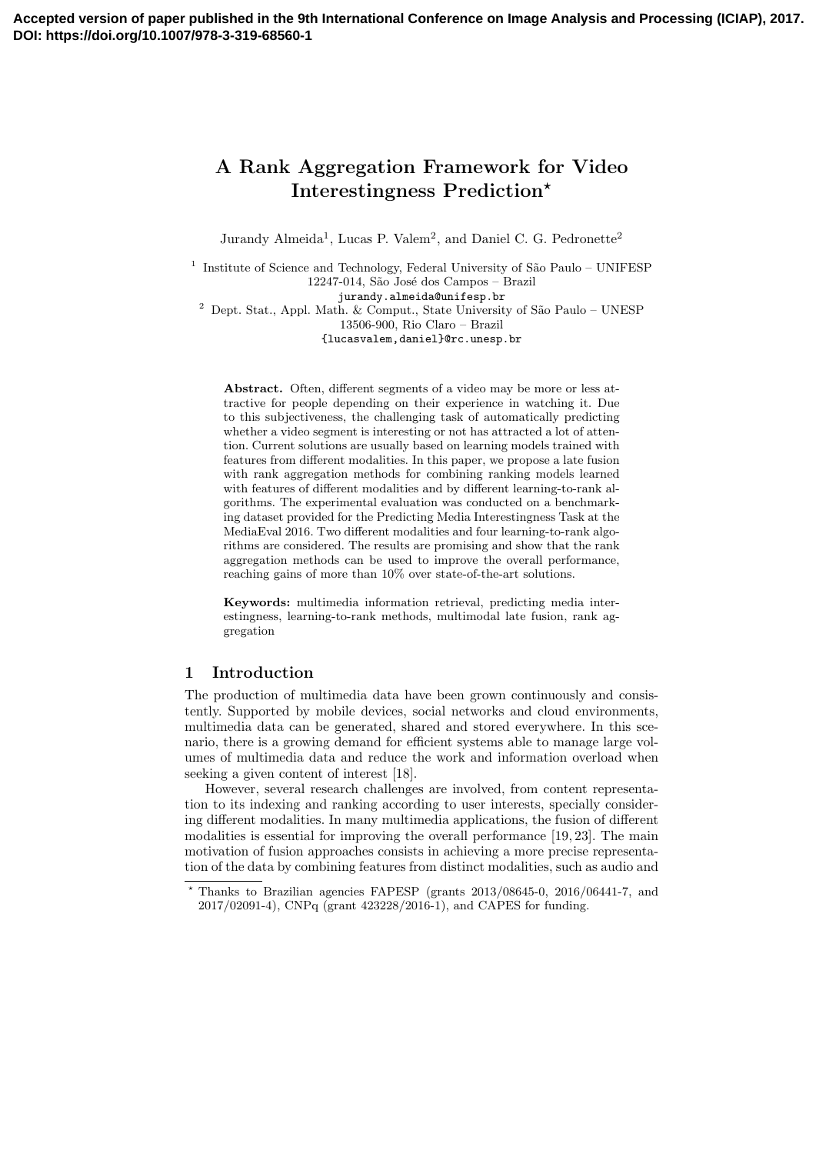# A Rank Aggregation Framework for Video Interestingness Prediction?

Jurandy Almeida<sup>1</sup>, Lucas P. Valem<sup>2</sup>, and Daniel C. G. Pedronette<sup>2</sup>

<sup>1</sup> Institute of Science and Technology, Federal University of São Paulo - UNIFESP 12247-014, São José dos Campos – Brazil jurandy.almeida@unifesp.br  $2$  Dept. Stat., Appl. Math. & Comput., State University of São Paulo – UNESP 13506-900, Rio Claro – Brazil

{lucasvalem,daniel}@rc.unesp.br

Abstract. Often, different segments of a video may be more or less attractive for people depending on their experience in watching it. Due to this subjectiveness, the challenging task of automatically predicting whether a video segment is interesting or not has attracted a lot of attention. Current solutions are usually based on learning models trained with features from different modalities. In this paper, we propose a late fusion with rank aggregation methods for combining ranking models learned with features of different modalities and by different learning-to-rank algorithms. The experimental evaluation was conducted on a benchmarking dataset provided for the Predicting Media Interestingness Task at the MediaEval 2016. Two different modalities and four learning-to-rank algorithms are considered. The results are promising and show that the rank aggregation methods can be used to improve the overall performance, reaching gains of more than 10% over state-of-the-art solutions.

Keywords: multimedia information retrieval, predicting media interestingness, learning-to-rank methods, multimodal late fusion, rank aggregation

# 1 Introduction

The production of multimedia data have been grown continuously and consistently. Supported by mobile devices, social networks and cloud environments, multimedia data can be generated, shared and stored everywhere. In this scenario, there is a growing demand for efficient systems able to manage large volumes of multimedia data and reduce the work and information overload when seeking a given content of interest [18].

However, several research challenges are involved, from content representation to its indexing and ranking according to user interests, specially considering different modalities. In many multimedia applications, the fusion of different modalities is essential for improving the overall performance [19, 23]. The main motivation of fusion approaches consists in achieving a more precise representation of the data by combining features from distinct modalities, such as audio and

<sup>?</sup> Thanks to Brazilian agencies FAPESP (grants 2013/08645-0, 2016/06441-7, and 2017/02091-4), CNPq (grant 423228/2016-1), and CAPES for funding.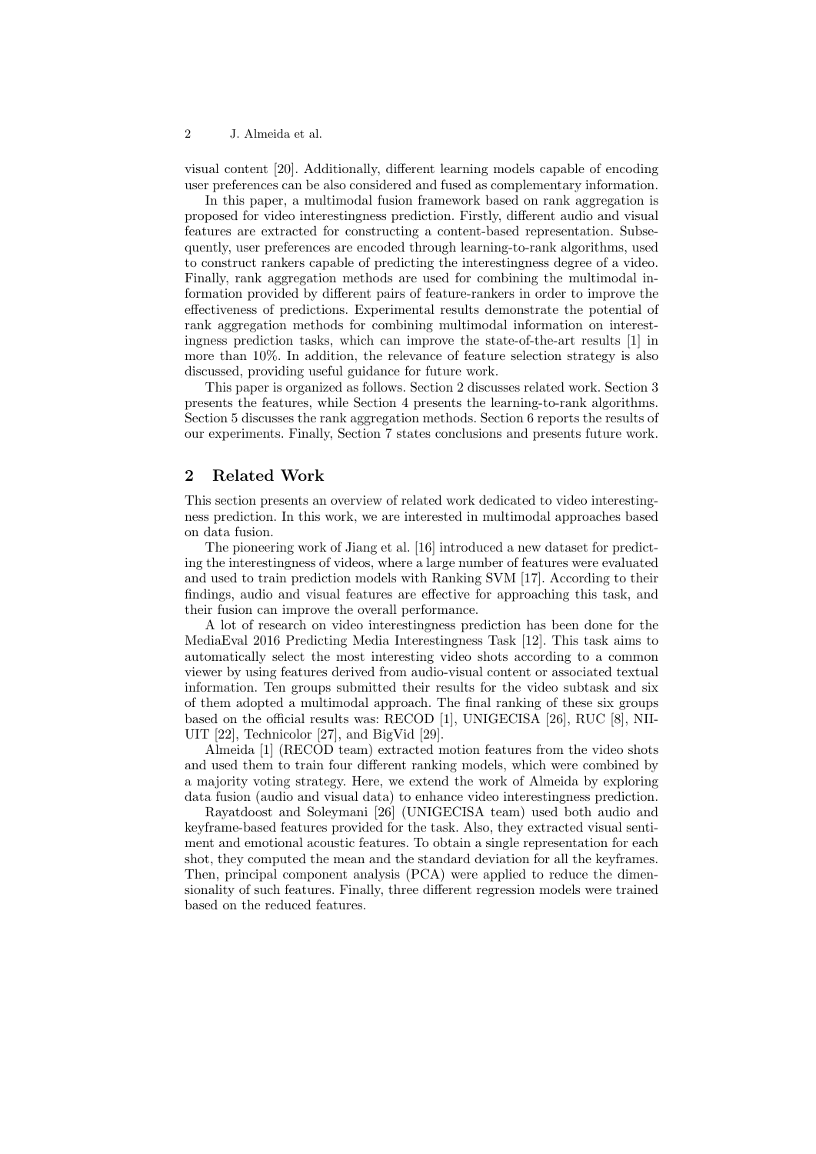visual content [20]. Additionally, different learning models capable of encoding user preferences can be also considered and fused as complementary information.

In this paper, a multimodal fusion framework based on rank aggregation is proposed for video interestingness prediction. Firstly, different audio and visual features are extracted for constructing a content-based representation. Subsequently, user preferences are encoded through learning-to-rank algorithms, used to construct rankers capable of predicting the interestingness degree of a video. Finally, rank aggregation methods are used for combining the multimodal information provided by different pairs of feature-rankers in order to improve the effectiveness of predictions. Experimental results demonstrate the potential of rank aggregation methods for combining multimodal information on interestingness prediction tasks, which can improve the state-of-the-art results [1] in more than 10%. In addition, the relevance of feature selection strategy is also discussed, providing useful guidance for future work.

This paper is organized as follows. Section 2 discusses related work. Section 3 presents the features, while Section 4 presents the learning-to-rank algorithms. Section 5 discusses the rank aggregation methods. Section 6 reports the results of our experiments. Finally, Section 7 states conclusions and presents future work.

# 2 Related Work

This section presents an overview of related work dedicated to video interestingness prediction. In this work, we are interested in multimodal approaches based on data fusion.

The pioneering work of Jiang et al. [16] introduced a new dataset for predicting the interestingness of videos, where a large number of features were evaluated and used to train prediction models with Ranking SVM [17]. According to their findings, audio and visual features are effective for approaching this task, and their fusion can improve the overall performance.

A lot of research on video interestingness prediction has been done for the MediaEval 2016 Predicting Media Interestingness Task [12]. This task aims to automatically select the most interesting video shots according to a common viewer by using features derived from audio-visual content or associated textual information. Ten groups submitted their results for the video subtask and six of them adopted a multimodal approach. The final ranking of these six groups based on the official results was: RECOD [1], UNIGECISA [26], RUC [8], NII-UIT [22], Technicolor [27], and BigVid [29].

Almeida [1] (RECOD team) extracted motion features from the video shots and used them to train four different ranking models, which were combined by a majority voting strategy. Here, we extend the work of Almeida by exploring data fusion (audio and visual data) to enhance video interestingness prediction.

Rayatdoost and Soleymani [26] (UNIGECISA team) used both audio and keyframe-based features provided for the task. Also, they extracted visual sentiment and emotional acoustic features. To obtain a single representation for each shot, they computed the mean and the standard deviation for all the keyframes. Then, principal component analysis (PCA) were applied to reduce the dimensionality of such features. Finally, three different regression models were trained based on the reduced features.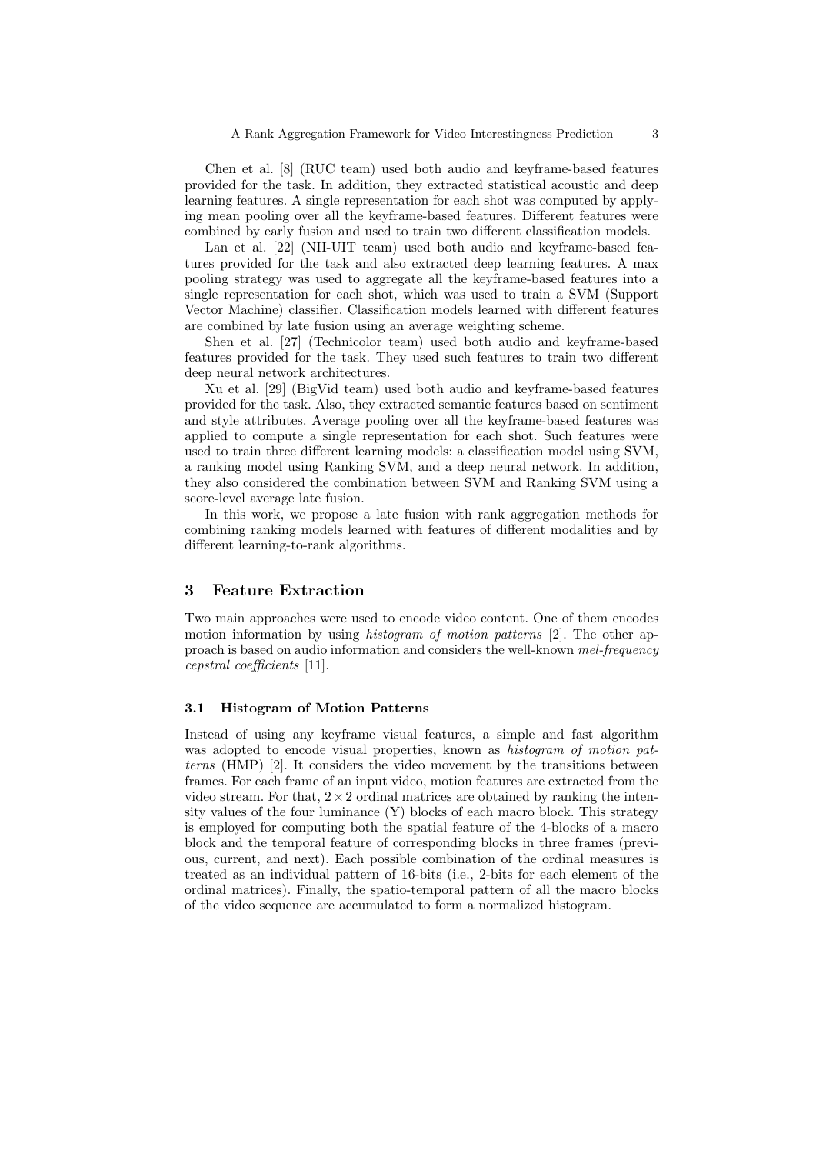Chen et al. [8] (RUC team) used both audio and keyframe-based features provided for the task. In addition, they extracted statistical acoustic and deep learning features. A single representation for each shot was computed by applying mean pooling over all the keyframe-based features. Different features were combined by early fusion and used to train two different classification models.

Lan et al. [22] (NII-UIT team) used both audio and keyframe-based features provided for the task and also extracted deep learning features. A max pooling strategy was used to aggregate all the keyframe-based features into a single representation for each shot, which was used to train a SVM (Support Vector Machine) classifier. Classification models learned with different features are combined by late fusion using an average weighting scheme.

Shen et al. [27] (Technicolor team) used both audio and keyframe-based features provided for the task. They used such features to train two different deep neural network architectures.

Xu et al. [29] (BigVid team) used both audio and keyframe-based features provided for the task. Also, they extracted semantic features based on sentiment and style attributes. Average pooling over all the keyframe-based features was applied to compute a single representation for each shot. Such features were used to train three different learning models: a classification model using SVM, a ranking model using Ranking SVM, and a deep neural network. In addition, they also considered the combination between SVM and Ranking SVM using a score-level average late fusion.

In this work, we propose a late fusion with rank aggregation methods for combining ranking models learned with features of different modalities and by different learning-to-rank algorithms.

# 3 Feature Extraction

Two main approaches were used to encode video content. One of them encodes motion information by using *histogram of motion patterns* [2]. The other approach is based on audio information and considers the well-known mel-frequency cepstral coefficients [11].

#### 3.1 Histogram of Motion Patterns

Instead of using any keyframe visual features, a simple and fast algorithm was adopted to encode visual properties, known as *histogram of motion pat*terns (HMP) [2]. It considers the video movement by the transitions between frames. For each frame of an input video, motion features are extracted from the video stream. For that,  $2 \times 2$  ordinal matrices are obtained by ranking the intensity values of the four luminance (Y) blocks of each macro block. This strategy is employed for computing both the spatial feature of the 4-blocks of a macro block and the temporal feature of corresponding blocks in three frames (previous, current, and next). Each possible combination of the ordinal measures is treated as an individual pattern of 16-bits (i.e., 2-bits for each element of the ordinal matrices). Finally, the spatio-temporal pattern of all the macro blocks of the video sequence are accumulated to form a normalized histogram.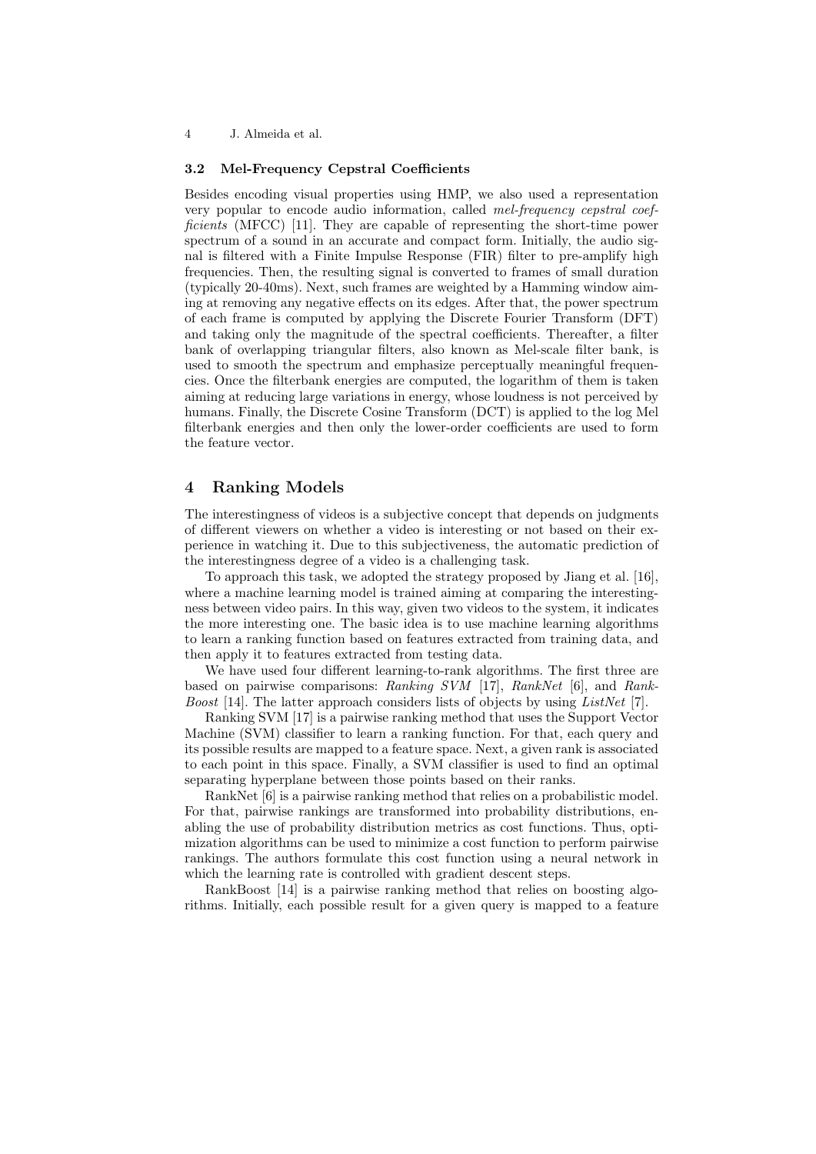#### 3.2 Mel-Frequency Cepstral Coefficients

Besides encoding visual properties using HMP, we also used a representation very popular to encode audio information, called mel-frequency cepstral coefficients (MFCC) [11]. They are capable of representing the short-time power spectrum of a sound in an accurate and compact form. Initially, the audio signal is filtered with a Finite Impulse Response (FIR) filter to pre-amplify high frequencies. Then, the resulting signal is converted to frames of small duration (typically 20-40ms). Next, such frames are weighted by a Hamming window aiming at removing any negative effects on its edges. After that, the power spectrum of each frame is computed by applying the Discrete Fourier Transform (DFT) and taking only the magnitude of the spectral coefficients. Thereafter, a filter bank of overlapping triangular filters, also known as Mel-scale filter bank, is used to smooth the spectrum and emphasize perceptually meaningful frequencies. Once the filterbank energies are computed, the logarithm of them is taken aiming at reducing large variations in energy, whose loudness is not perceived by humans. Finally, the Discrete Cosine Transform (DCT) is applied to the log Mel filterbank energies and then only the lower-order coefficients are used to form the feature vector.

# 4 Ranking Models

The interestingness of videos is a subjective concept that depends on judgments of different viewers on whether a video is interesting or not based on their experience in watching it. Due to this subjectiveness, the automatic prediction of the interestingness degree of a video is a challenging task.

To approach this task, we adopted the strategy proposed by Jiang et al. [16], where a machine learning model is trained aiming at comparing the interestingness between video pairs. In this way, given two videos to the system, it indicates the more interesting one. The basic idea is to use machine learning algorithms to learn a ranking function based on features extracted from training data, and then apply it to features extracted from testing data.

We have used four different learning-to-rank algorithms. The first three are based on pairwise comparisons: Ranking SVM [17], RankNet [6], and Rank-Boost [14]. The latter approach considers lists of objects by using *ListNet* [7].

Ranking SVM [17] is a pairwise ranking method that uses the Support Vector Machine (SVM) classifier to learn a ranking function. For that, each query and its possible results are mapped to a feature space. Next, a given rank is associated to each point in this space. Finally, a SVM classifier is used to find an optimal separating hyperplane between those points based on their ranks.

RankNet [6] is a pairwise ranking method that relies on a probabilistic model. For that, pairwise rankings are transformed into probability distributions, enabling the use of probability distribution metrics as cost functions. Thus, optimization algorithms can be used to minimize a cost function to perform pairwise rankings. The authors formulate this cost function using a neural network in which the learning rate is controlled with gradient descent steps.

RankBoost [14] is a pairwise ranking method that relies on boosting algorithms. Initially, each possible result for a given query is mapped to a feature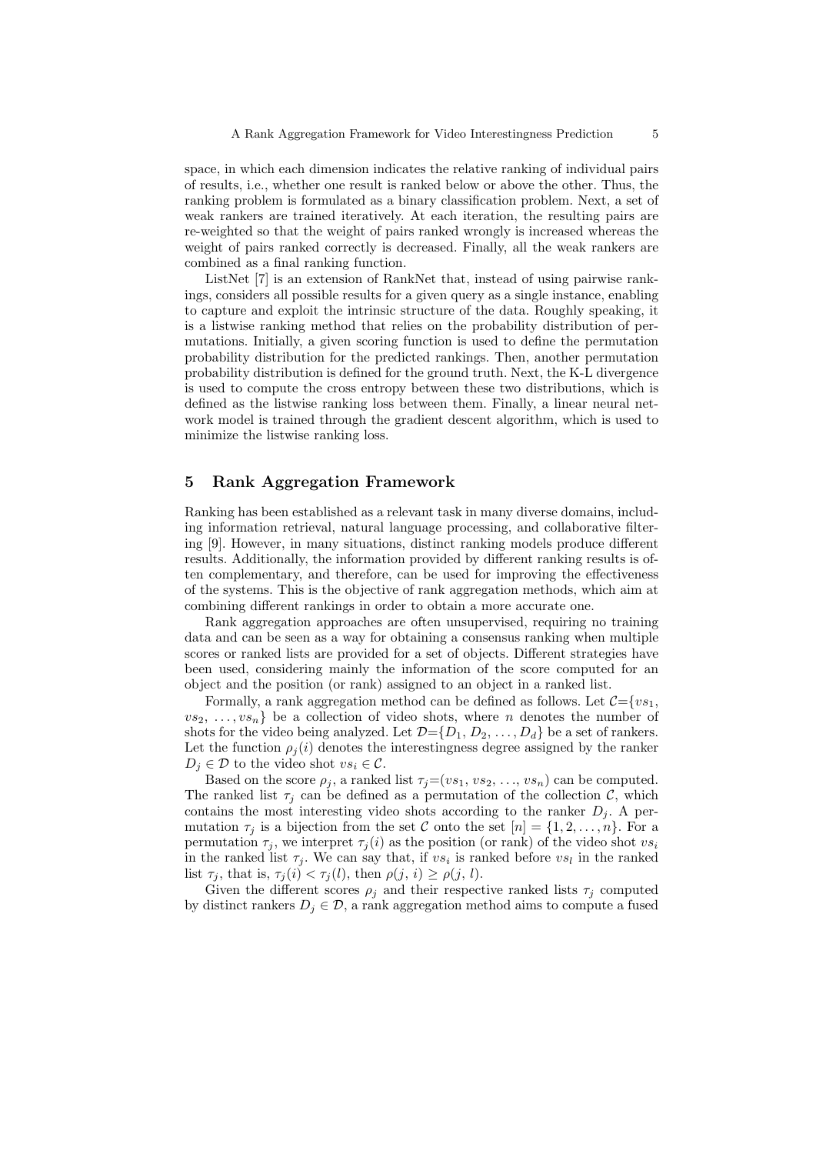space, in which each dimension indicates the relative ranking of individual pairs of results, i.e., whether one result is ranked below or above the other. Thus, the ranking problem is formulated as a binary classification problem. Next, a set of weak rankers are trained iteratively. At each iteration, the resulting pairs are re-weighted so that the weight of pairs ranked wrongly is increased whereas the weight of pairs ranked correctly is decreased. Finally, all the weak rankers are combined as a final ranking function.

ListNet [7] is an extension of RankNet that, instead of using pairwise rankings, considers all possible results for a given query as a single instance, enabling to capture and exploit the intrinsic structure of the data. Roughly speaking, it is a listwise ranking method that relies on the probability distribution of permutations. Initially, a given scoring function is used to define the permutation probability distribution for the predicted rankings. Then, another permutation probability distribution is defined for the ground truth. Next, the K-L divergence is used to compute the cross entropy between these two distributions, which is defined as the listwise ranking loss between them. Finally, a linear neural network model is trained through the gradient descent algorithm, which is used to minimize the listwise ranking loss.

## 5 Rank Aggregation Framework

Ranking has been established as a relevant task in many diverse domains, including information retrieval, natural language processing, and collaborative filtering [9]. However, in many situations, distinct ranking models produce different results. Additionally, the information provided by different ranking results is often complementary, and therefore, can be used for improving the effectiveness of the systems. This is the objective of rank aggregation methods, which aim at combining different rankings in order to obtain a more accurate one.

Rank aggregation approaches are often unsupervised, requiring no training data and can be seen as a way for obtaining a consensus ranking when multiple scores or ranked lists are provided for a set of objects. Different strategies have been used, considering mainly the information of the score computed for an object and the position (or rank) assigned to an object in a ranked list.

Formally, a rank aggregation method can be defined as follows. Let  $C = \{vs_1,$  $vs_2, \ldots, vs_n$  be a collection of video shots, where n denotes the number of shots for the video being analyzed. Let  $\mathcal{D} = \{D_1, D_2, \ldots, D_d\}$  be a set of rankers. Let the function  $\rho_i(i)$  denotes the interestingness degree assigned by the ranker  $D_j \in \mathcal{D}$  to the video shot  $vs_i \in \mathcal{C}$ .

Based on the score  $\rho_j$ , a ranked list  $\tau_j=(vs_1, vs_2, ..., vs_n)$  can be computed. The ranked list  $\tau_j$  can be defined as a permutation of the collection C, which contains the most interesting video shots according to the ranker  $D_j$ . A permutation  $\tau_j$  is a bijection from the set C onto the set  $[n] = \{1, 2, \ldots, n\}$ . For a permutation  $\tau_j$ , we interpret  $\tau_j(i)$  as the position (or rank) of the video shot  $vs_i$ in the ranked list  $\tau_j$ . We can say that, if  $vs_i$  is ranked before  $vs_l$  in the ranked list  $\tau_j$ , that is,  $\tau_j(i) < \tau_j(l)$ , then  $\rho(j, i) \geq \rho(j, l)$ .

Given the different scores  $\rho_j$  and their respective ranked lists  $\tau_j$  computed by distinct rankers  $D_j \in \mathcal{D}$ , a rank aggregation method aims to compute a fused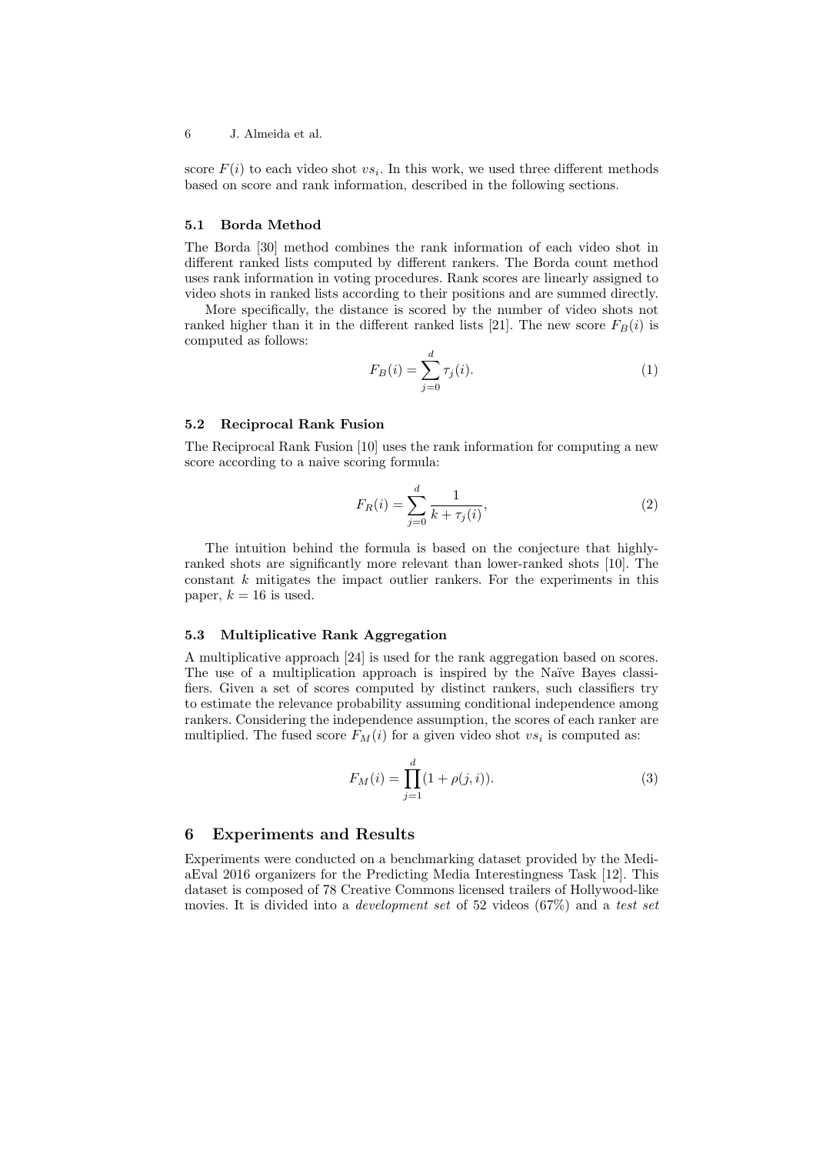score  $F(i)$  to each video shot  $vs_i$ . In this work, we used three different methods based on score and rank information, described in the following sections.

## 5.1 Borda Method

The Borda [30] method combines the rank information of each video shot in different ranked lists computed by different rankers. The Borda count method uses rank information in voting procedures. Rank scores are linearly assigned to video shots in ranked lists according to their positions and are summed directly.

More specifically, the distance is scored by the number of video shots not ranked higher than it in the different ranked lists [21]. The new score  $F_B(i)$  is computed as follows:

$$
F_B(i) = \sum_{j=0}^{d} \tau_j(i).
$$
 (1)

#### 5.2 Reciprocal Rank Fusion

The Reciprocal Rank Fusion [10] uses the rank information for computing a new score according to a naive scoring formula:

$$
F_R(i) = \sum_{j=0}^{d} \frac{1}{k + \tau_j(i)},
$$
\n(2)

The intuition behind the formula is based on the conjecture that highlyranked shots are significantly more relevant than lower-ranked shots [10]. The constant  $k$  mitigates the impact outlier rankers. For the experiments in this paper,  $k = 16$  is used.

# 5.3 Multiplicative Rank Aggregation

A multiplicative approach [24] is used for the rank aggregation based on scores. The use of a multiplication approach is inspired by the Naïve Bayes classifiers. Given a set of scores computed by distinct rankers, such classifiers try to estimate the relevance probability assuming conditional independence among rankers. Considering the independence assumption, the scores of each ranker are multiplied. The fused score  $F_M(i)$  for a given video shot  $vs_i$  is computed as:

$$
F_M(i) = \prod_{j=1}^d (1 + \rho(j, i)).
$$
\n(3)

#### 6 Experiments and Results

Experiments were conducted on a benchmarking dataset provided by the MediaEval 2016 organizers for the Predicting Media Interestingness Task [12]. This dataset is composed of 78 Creative Commons licensed trailers of Hollywood-like movies. It is divided into a *development set* of 52 videos (67%) and a test set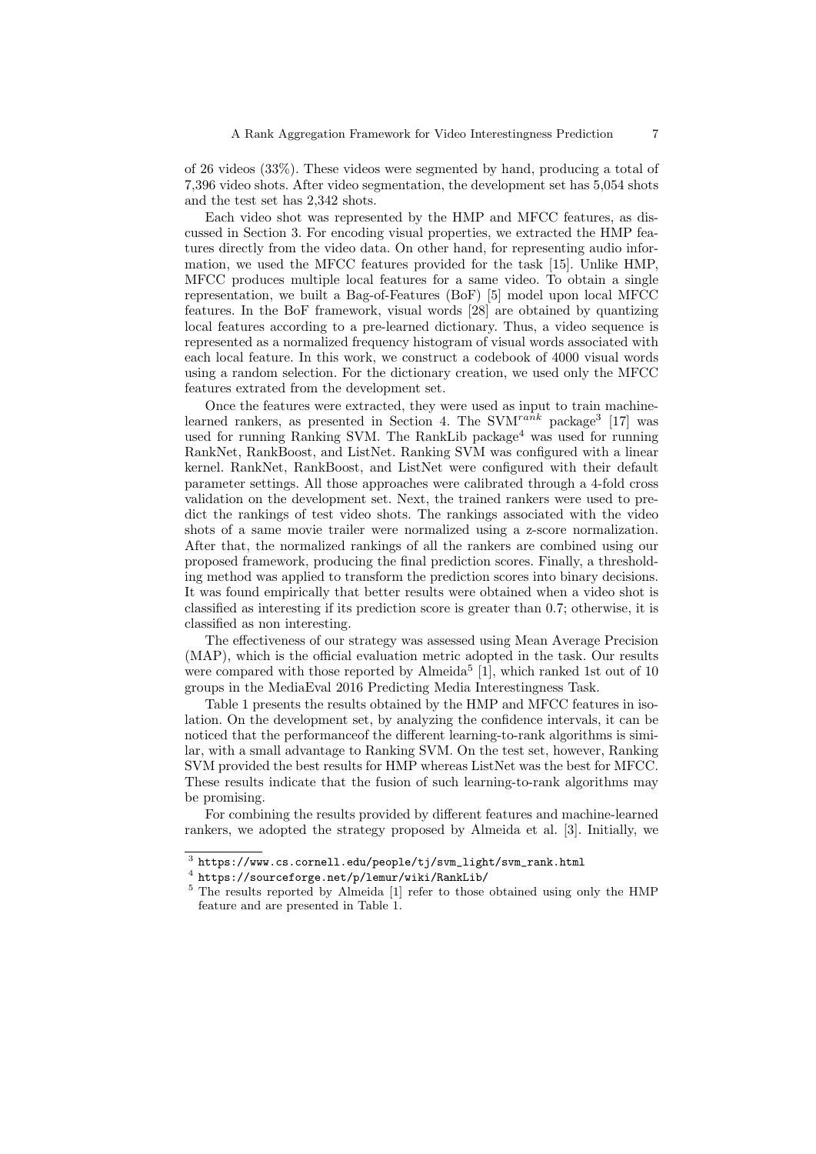of 26 videos (33%). These videos were segmented by hand, producing a total of 7,396 video shots. After video segmentation, the development set has 5,054 shots and the test set has 2,342 shots.

Each video shot was represented by the HMP and MFCC features, as discussed in Section 3. For encoding visual properties, we extracted the HMP features directly from the video data. On other hand, for representing audio information, we used the MFCC features provided for the task [15]. Unlike HMP, MFCC produces multiple local features for a same video. To obtain a single representation, we built a Bag-of-Features (BoF) [5] model upon local MFCC features. In the BoF framework, visual words [28] are obtained by quantizing local features according to a pre-learned dictionary. Thus, a video sequence is represented as a normalized frequency histogram of visual words associated with each local feature. In this work, we construct a codebook of 4000 visual words using a random selection. For the dictionary creation, we used only the MFCC features extrated from the development set.

Once the features were extracted, they were used as input to train machinelearned rankers, as presented in Section 4. The SVM<sup>rank</sup> package<sup>3</sup> [17] was used for running Ranking SVM. The RankLib package<sup>4</sup> was used for running RankNet, RankBoost, and ListNet. Ranking SVM was configured with a linear kernel. RankNet, RankBoost, and ListNet were configured with their default parameter settings. All those approaches were calibrated through a 4-fold cross validation on the development set. Next, the trained rankers were used to predict the rankings of test video shots. The rankings associated with the video shots of a same movie trailer were normalized using a z-score normalization. After that, the normalized rankings of all the rankers are combined using our proposed framework, producing the final prediction scores. Finally, a thresholding method was applied to transform the prediction scores into binary decisions. It was found empirically that better results were obtained when a video shot is classified as interesting if its prediction score is greater than 0.7; otherwise, it is classified as non interesting.

The effectiveness of our strategy was assessed using Mean Average Precision (MAP), which is the official evaluation metric adopted in the task. Our results were compared with those reported by Almeida<sup>5</sup> [1], which ranked 1st out of 10 groups in the MediaEval 2016 Predicting Media Interestingness Task.

Table 1 presents the results obtained by the HMP and MFCC features in isolation. On the development set, by analyzing the confidence intervals, it can be noticed that the performanceof the different learning-to-rank algorithms is similar, with a small advantage to Ranking SVM. On the test set, however, Ranking SVM provided the best results for HMP whereas ListNet was the best for MFCC. These results indicate that the fusion of such learning-to-rank algorithms may be promising.

For combining the results provided by different features and machine-learned rankers, we adopted the strategy proposed by Almeida et al. [3]. Initially, we

 $^3$  https://www.cs.cornell.edu/people/tj/svm\_light/svm\_rank.html

<sup>4</sup> https://sourceforge.net/p/lemur/wiki/RankLib/

<sup>5</sup> The results reported by Almeida [1] refer to those obtained using only the HMP feature and are presented in Table 1.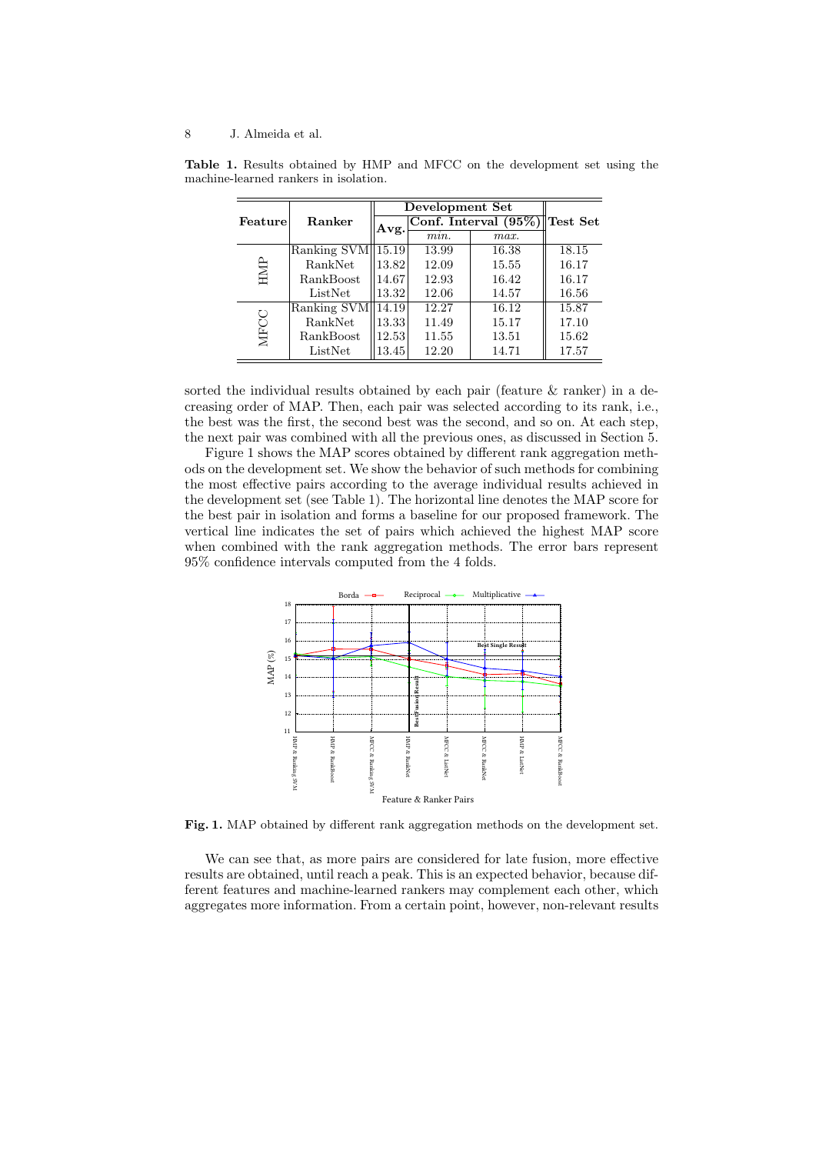| Feature     | <b>Ranker</b> | Development Set |                               |       |       |
|-------------|---------------|-----------------|-------------------------------|-------|-------|
|             |               | Avg.            | Conf. Interval (95%) Test Set |       |       |
|             |               |                 | min.                          | max.  |       |
| HMP         | Ranking SVM   | 15.19           | 13.99                         | 16.38 | 18.15 |
|             | RankNet       | 13.82           | 12.09                         | 15.55 | 16.17 |
|             | RankBoost     | 14.67           | 12.93                         | 16.42 | 16.17 |
|             | ListNet       | 13.32           | 12.06                         | 14.57 | 16.56 |
| <b>MFCC</b> | Ranking SVM   | 14.19           | 12.27                         | 16.12 | 15.87 |
|             | RankNet       | 13.33           | 11.49                         | 15.17 | 17.10 |
|             | RankBoost     | 12.53           | 11.55                         | 13.51 | 15.62 |
|             | ListNet       | 13.45           | 12.20                         | 14.71 | 17.57 |

Table 1. Results obtained by HMP and MFCC on the development set using the machine-learned rankers in isolation.

sorted the individual results obtained by each pair (feature & ranker) in a decreasing order of MAP. Then, each pair was selected according to its rank, i.e., the best was the first, the second best was the second, and so on. At each step, the next pair was combined with all the previous ones, as discussed in Section 5.

Figure 1 shows the MAP scores obtained by different rank aggregation methods on the development set. We show the behavior of such methods for combining the most effective pairs according to the average individual results achieved in the development set (see Table 1). The horizontal line denotes the MAP score for the best pair in isolation and forms a baseline for our proposed framework. The vertical line indicates the set of pairs which achieved the highest MAP score when combined with the rank aggregation methods. The error bars represent 95% confidence intervals computed from the 4 folds.



Fig. 1. MAP obtained by different rank aggregation methods on the development set.

We can see that, as more pairs are considered for late fusion, more effective results are obtained, until reach a peak. This is an expected behavior, because different features and machine-learned rankers may complement each other, which aggregates more information. From a certain point, however, non-relevant results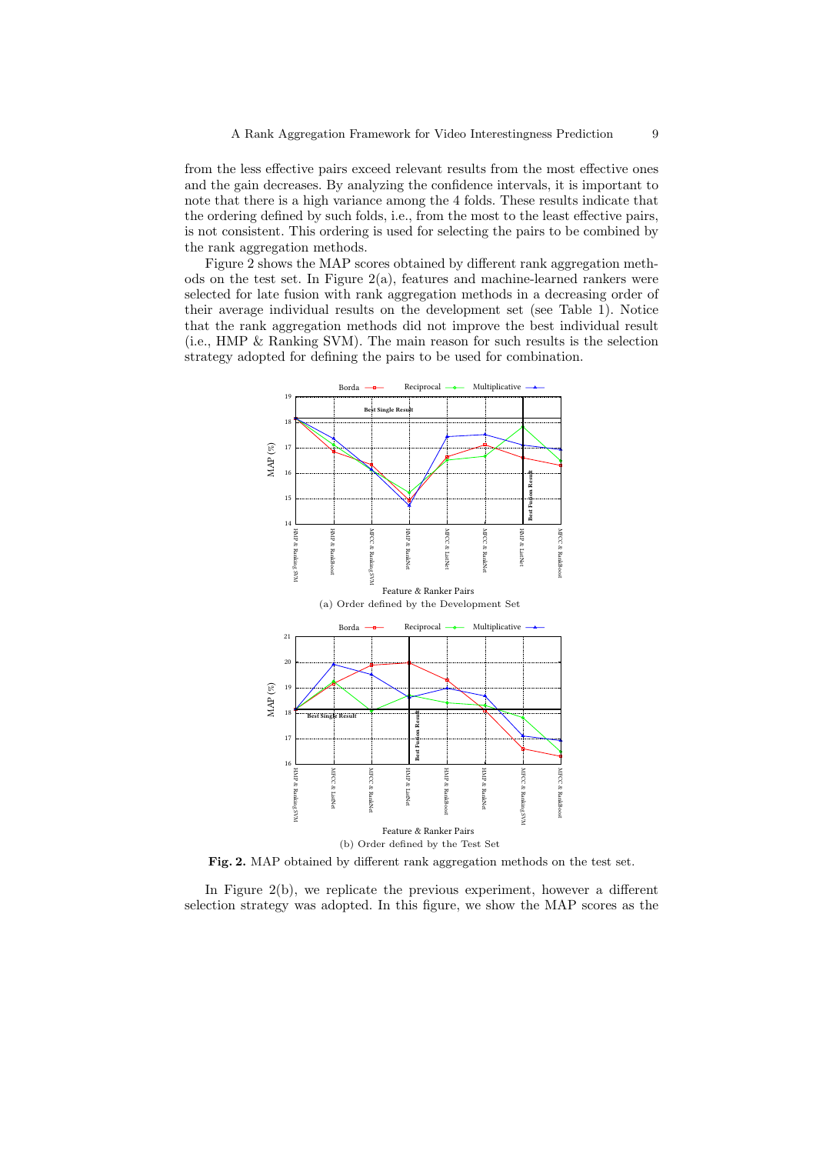from the less effective pairs exceed relevant results from the most effective ones and the gain decreases. By analyzing the confidence intervals, it is important to note that there is a high variance among the 4 folds. These results indicate that the ordering defined by such folds, i.e., from the most to the least effective pairs, is not consistent. This ordering is used for selecting the pairs to be combined by the rank aggregation methods.

Figure 2 shows the MAP scores obtained by different rank aggregation methods on the test set. In Figure  $2(a)$ , features and machine-learned rankers were selected for late fusion with rank aggregation methods in a decreasing order of their average individual results on the development set (see Table 1). Notice that the rank aggregation methods did not improve the best individual result (i.e., HMP & Ranking SVM). The main reason for such results is the selection strategy adopted for defining the pairs to be used for combination.



Fig. 2. MAP obtained by different rank aggregation methods on the test set.

In Figure 2(b), we replicate the previous experiment, however a different selection strategy was adopted. In this figure, we show the MAP scores as the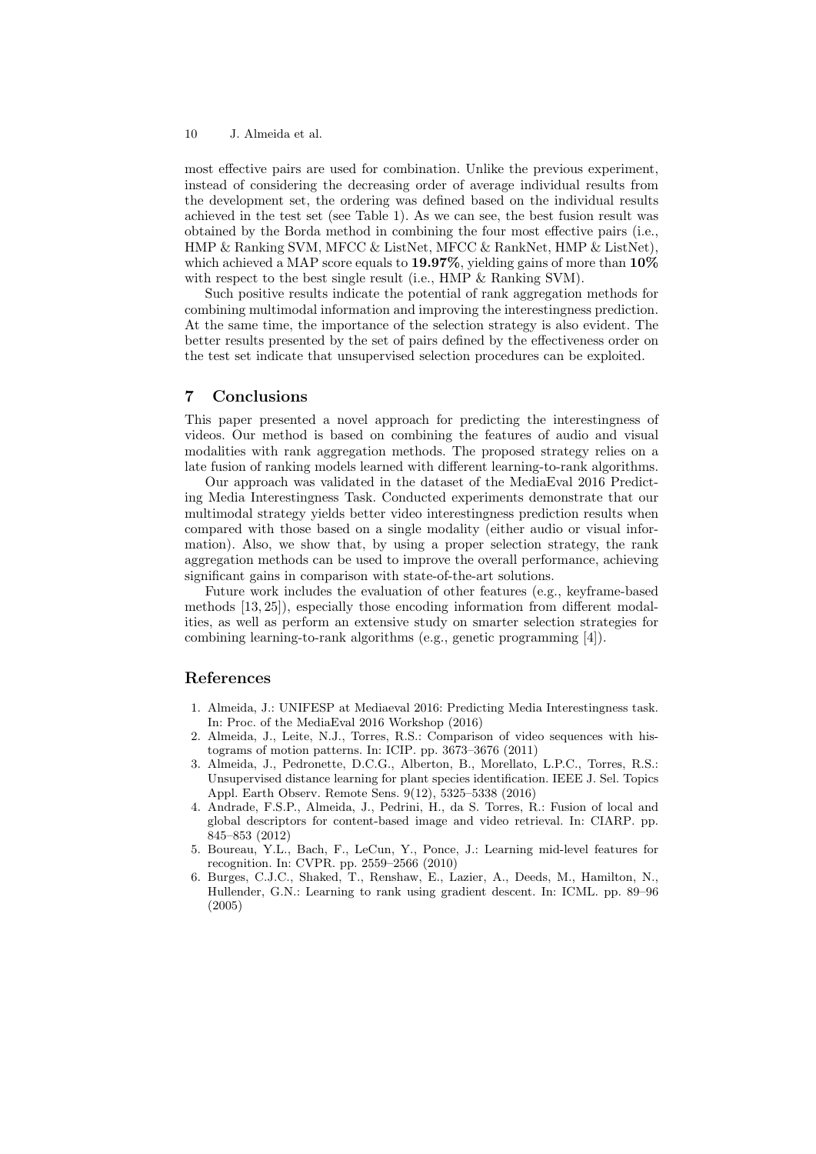most effective pairs are used for combination. Unlike the previous experiment, instead of considering the decreasing order of average individual results from the development set, the ordering was defined based on the individual results achieved in the test set (see Table 1). As we can see, the best fusion result was obtained by the Borda method in combining the four most effective pairs (i.e., HMP & Ranking SVM, MFCC & ListNet, MFCC & RankNet, HMP & ListNet), which achieved a MAP score equals to  $19.97\%$ , yielding gains of more than  $10\%$ with respect to the best single result (i.e., HMP & Ranking SVM).

Such positive results indicate the potential of rank aggregation methods for combining multimodal information and improving the interestingness prediction. At the same time, the importance of the selection strategy is also evident. The better results presented by the set of pairs defined by the effectiveness order on the test set indicate that unsupervised selection procedures can be exploited.

### 7 Conclusions

This paper presented a novel approach for predicting the interestingness of videos. Our method is based on combining the features of audio and visual modalities with rank aggregation methods. The proposed strategy relies on a late fusion of ranking models learned with different learning-to-rank algorithms.

Our approach was validated in the dataset of the MediaEval 2016 Predicting Media Interestingness Task. Conducted experiments demonstrate that our multimodal strategy yields better video interestingness prediction results when compared with those based on a single modality (either audio or visual information). Also, we show that, by using a proper selection strategy, the rank aggregation methods can be used to improve the overall performance, achieving significant gains in comparison with state-of-the-art solutions.

Future work includes the evaluation of other features (e.g., keyframe-based methods [13, 25]), especially those encoding information from different modalities, as well as perform an extensive study on smarter selection strategies for combining learning-to-rank algorithms (e.g., genetic programming [4]).

# References

- 1. Almeida, J.: UNIFESP at Mediaeval 2016: Predicting Media Interestingness task. In: Proc. of the MediaEval 2016 Workshop (2016)
- 2. Almeida, J., Leite, N.J., Torres, R.S.: Comparison of video sequences with histograms of motion patterns. In: ICIP. pp. 3673–3676 (2011)
- 3. Almeida, J., Pedronette, D.C.G., Alberton, B., Morellato, L.P.C., Torres, R.S.: Unsupervised distance learning for plant species identification. IEEE J. Sel. Topics Appl. Earth Observ. Remote Sens. 9(12), 5325–5338 (2016)
- 4. Andrade, F.S.P., Almeida, J., Pedrini, H., da S. Torres, R.: Fusion of local and global descriptors for content-based image and video retrieval. In: CIARP. pp. 845–853 (2012)
- 5. Boureau, Y.L., Bach, F., LeCun, Y., Ponce, J.: Learning mid-level features for recognition. In: CVPR. pp. 2559–2566 (2010)
- 6. Burges, C.J.C., Shaked, T., Renshaw, E., Lazier, A., Deeds, M., Hamilton, N., Hullender, G.N.: Learning to rank using gradient descent. In: ICML. pp. 89–96 (2005)